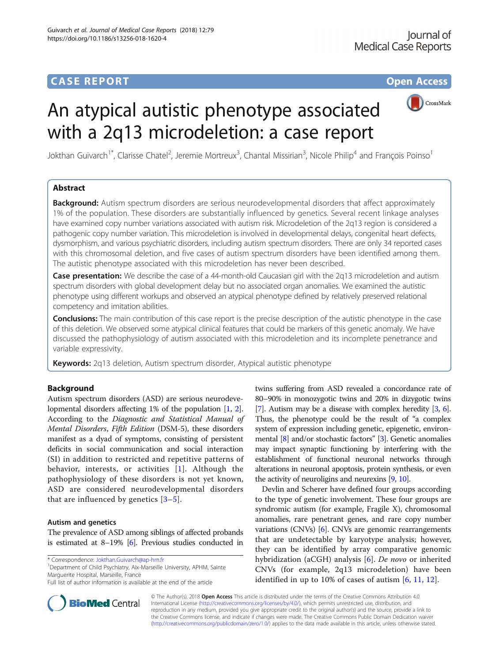

# An atypical autistic phenotype associated with a 2q13 microdeletion: a case report

Jokthan Guivarch<sup>1\*</sup>, Clarisse Chatel<sup>2</sup>, Jeremie Mortreux<sup>3</sup>, Chantal Missirian<sup>3</sup>, Nicole Philip<sup>4</sup> and François Poinso<sup>1</sup>

# Abstract

**Background:** Autism spectrum disorders are serious neurodevelopmental disorders that affect approximately 1% of the population. These disorders are substantially influenced by genetics. Several recent linkage analyses have examined copy number variations associated with autism risk. Microdeletion of the 2q13 region is considered a pathogenic copy number variation. This microdeletion is involved in developmental delays, congenital heart defects, dysmorphism, and various psychiatric disorders, including autism spectrum disorders. There are only 34 reported cases with this chromosomal deletion, and five cases of autism spectrum disorders have been identified among them. The autistic phenotype associated with this microdeletion has never been described.

Case presentation: We describe the case of a 44-month-old Caucasian girl with the 2q13 microdeletion and autism spectrum disorders with global development delay but no associated organ anomalies. We examined the autistic phenotype using different workups and observed an atypical phenotype defined by relatively preserved relational competency and imitation abilities.

**Conclusions:** The main contribution of this case report is the precise description of the autistic phenotype in the case of this deletion. We observed some atypical clinical features that could be markers of this genetic anomaly. We have discussed the pathophysiology of autism associated with this microdeletion and its incomplete penetrance and variable expressivity.

**Keywords:** 2q13 deletion, Autism spectrum disorder, Atypical autistic phenotype

# Background

Autism spectrum disorders (ASD) are serious neurodevelopmental disorders affecting 1% of the population [\[1,](#page-4-0) [2](#page-4-0)]. According to the Diagnostic and Statistical Manual of Mental Disorders, Fifth Edition (DSM-5), these disorders manifest as a dyad of symptoms, consisting of persistent deficits in social communication and social interaction (SI) in addition to restricted and repetitive patterns of behavior, interests, or activities [\[1](#page-4-0)]. Although the pathophysiology of these disorders is not yet known, ASD are considered neurodevelopmental disorders that are influenced by genetics  $[3-5]$  $[3-5]$  $[3-5]$  $[3-5]$  $[3-5]$ .

### Autism and genetics

The prevalence of ASD among siblings of affected probands is estimated at 8–19% [\[6](#page-5-0)]. Previous studies conducted in

\* Correspondence: [Jokthan.Guivarch@ap-hm.fr](mailto:Jokthan.Guivarch@ap-hm.fr) <sup>1</sup>

<sup>1</sup>Department of Child Psychiatry, Aix-Marseille University, APHM, Sainte Marguerite Hospital, Marseille, France

twins suffering from ASD revealed a concordance rate of 80–90% in monozygotic twins and 20% in dizygotic twins [[7](#page-5-0)]. Autism may be a disease with complex heredity [[3](#page-5-0), [6](#page-5-0)]. Thus, the phenotype could be the result of "a complex system of expression including genetic, epigenetic, environmental [[8](#page-5-0)] and/or stochastic factors" [[3](#page-5-0)]. Genetic anomalies may impact synaptic functioning by interfering with the establishment of functional neuronal networks through alterations in neuronal apoptosis, protein synthesis, or even the activity of neuroligins and neurexins [[9](#page-5-0), [10](#page-5-0)].

Devlin and Scherer have defined four groups according to the type of genetic involvement. These four groups are syndromic autism (for example, Fragile X), chromosomal anomalies, rare penetrant genes, and rare copy number variations (CNVs) [\[6\]](#page-5-0). CNVs are genomic rearrangements that are undetectable by karyotype analysis; however, they can be identified by array comparative genomic hybridization (aCGH) analysis [[6\]](#page-5-0). De novo or inherited CNVs (for example, 2q13 microdeletion) have been identified in up to 10% of cases of autism [[6,](#page-5-0) [11,](#page-5-0) [12\]](#page-5-0).



© The Author(s). 2018 Open Access This article is distributed under the terms of the Creative Commons Attribution 4.0 International License [\(http://creativecommons.org/licenses/by/4.0/](http://creativecommons.org/licenses/by/4.0/)), which permits unrestricted use, distribution, and reproduction in any medium, provided you give appropriate credit to the original author(s) and the source, provide a link to the Creative Commons license, and indicate if changes were made. The Creative Commons Public Domain Dedication waiver [\(http://creativecommons.org/publicdomain/zero/1.0/](http://creativecommons.org/publicdomain/zero/1.0/)) applies to the data made available in this article, unless otherwise stated.

Full list of author information is available at the end of the article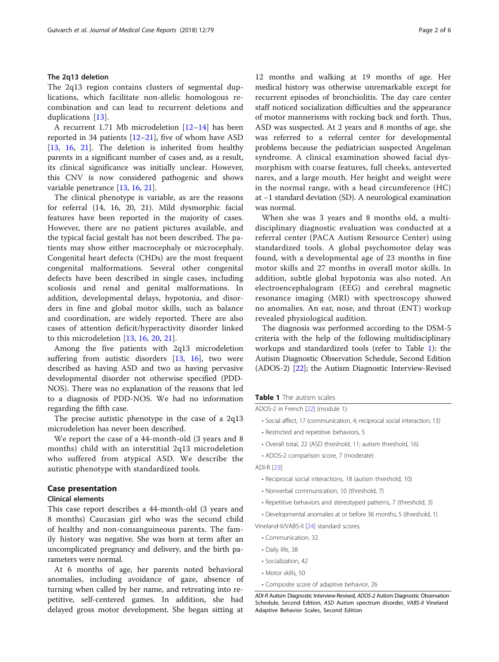## The 2q13 deletion

The 2q13 region contains clusters of segmental duplications, which facilitate non-allelic homologous recombination and can lead to recurrent deletions and duplications [[13\]](#page-5-0).

A recurrent 1.71 Mb microdeletion [[12](#page-5-0)–[14](#page-5-0)] has been reported in 34 patients [[12](#page-5-0)–[21](#page-5-0)], five of whom have ASD [[13,](#page-5-0) [16,](#page-5-0) [21](#page-5-0)]. The deletion is inherited from healthy parents in a significant number of cases and, as a result, its clinical significance was initially unclear. However, this CNV is now considered pathogenic and shows variable penetrance [\[13](#page-5-0), [16,](#page-5-0) [21\]](#page-5-0).

The clinical phenotype is variable, as are the reasons for referral (14, 16, 20, 21). Mild dysmorphic facial features have been reported in the majority of cases. However, there are no patient pictures available, and the typical facial gestalt has not been described. The patients may show either macrocephaly or microcephaly. Congenital heart defects (CHDs) are the most frequent congenital malformations. Several other congenital defects have been described in single cases, including scoliosis and renal and genital malformations. In addition, developmental delays, hypotonia, and disorders in fine and global motor skills, such as balance and coordination, are widely reported. There are also cases of attention deficit/hyperactivity disorder linked to this microdeletion [\[13](#page-5-0), [16,](#page-5-0) [20,](#page-5-0) [21\]](#page-5-0).

Among the five patients with 2q13 microdeletion suffering from autistic disorders [[13,](#page-5-0) [16](#page-5-0)], two were described as having ASD and two as having pervasive developmental disorder not otherwise specified (PDD-NOS). There was no explanation of the reasons that led to a diagnosis of PDD-NOS. We had no information regarding the fifth case.

The precise autistic phenotype in the case of a 2q13 microdeletion has never been described.

We report the case of a 44-month-old (3 years and 8 months) child with an interstitial 2q13 microdeletion who suffered from atypical ASD. We describe the autistic phenotype with standardized tools.

# Case presentation

#### Clinical elements

This case report describes a 44-month-old (3 years and 8 months) Caucasian girl who was the second child of healthy and non-consanguineous parents. The family history was negative. She was born at term after an uncomplicated pregnancy and delivery, and the birth parameters were normal.

At 6 months of age, her parents noted behavioral anomalies, including avoidance of gaze, absence of turning when called by her name, and retreating into repetitive, self-centered games. In addition, she had delayed gross motor development. She began sitting at

12 months and walking at 19 months of age. Her medical history was otherwise unremarkable except for recurrent episodes of bronchiolitis. The day care center staff noticed socialization difficulties and the appearance of motor mannerisms with rocking back and forth. Thus, ASD was suspected. At 2 years and 8 months of age, she was referred to a referral center for developmental problems because the pediatrician suspected Angelman syndrome. A clinical examination showed facial dysmorphism with coarse features, full cheeks, anteverted nares, and a large mouth. Her height and weight were in the normal range, with a head circumference (HC) at −1 standard deviation (SD). A neurological examination was normal.

When she was 3 years and 8 months old, a multidisciplinary diagnostic evaluation was conducted at a referral center (PACA Autism Resource Center) using standardized tools. A global psychomotor delay was found, with a developmental age of 23 months in fine motor skills and 27 months in overall motor skills. In addition, subtle global hypotonia was also noted. An electroencephalogram (EEG) and cerebral magnetic resonance imaging (MRI) with spectroscopy showed no anomalies. An ear, nose, and throat (ENT) workup revealed physiological audition.

The diagnosis was performed according to the DSM-5 criteria with the help of the following multidisciplinary workups and standardized tools (refer to Table 1): the Autism Diagnostic Observation Schedule, Second Edition (ADOS-2) [[22](#page-5-0)]; the Autism Diagnostic Interview-Revised

#### Table 1 The autism scales

ADOS-2 in French [[22](#page-5-0)] (module 1):

- Social affect, 17 (communication, 4; reciprocal social interaction, 13)
- Restricted and repetitive behaviors, 5
- Overall total, 22 (ASD threshold, 11; autism threshold, 16)
- ADOS-2 comparison score, 7 (moderate)
- ADI-R [[23\]](#page-5-0):
	- Reciprocal social interactions, 18 (autism threshold, 10)
	- Nonverbal communication, 10 (threshold, 7)
	- Repetitive behaviors and stereotyped patterns, 7 (threshold, 3)
	- Developmental anomalies at or before 36 months, 5 (threshold, 1)

Vineland-II/VABS-II [\[24\]](#page-5-0) standard scores:

- Communication, 32
- Daily life, 38
- Socialization, 42
- Motor skills, 50
- Composite score of adaptive behavior, 26

ADI-R Autism Diagnostic Interview-Revised, ADOS-2 Autism Diagnostic Observation Schedule, Second Edition, ASD Autism spectrum disorder, VABS-II Vineland Adaptive Behavior Scales, Second Edition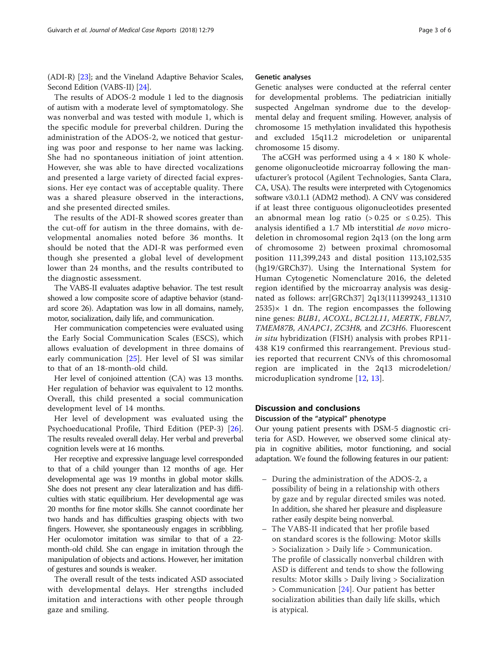(ADI-R) [[23](#page-5-0)]; and the Vineland Adaptive Behavior Scales, Second Edition (VABS-II) [[24](#page-5-0)].

The results of ADOS-2 module 1 led to the diagnosis of autism with a moderate level of symptomatology. She was nonverbal and was tested with module 1, which is the specific module for preverbal children. During the administration of the ADOS-2, we noticed that gesturing was poor and response to her name was lacking. She had no spontaneous initiation of joint attention. However, she was able to have directed vocalizations and presented a large variety of directed facial expressions. Her eye contact was of acceptable quality. There was a shared pleasure observed in the interactions, and she presented directed smiles.

The results of the ADI-R showed scores greater than the cut-off for autism in the three domains, with developmental anomalies noted before 36 months. It should be noted that the ADI-R was performed even though she presented a global level of development lower than 24 months, and the results contributed to the diagnostic assessment.

The VABS-II evaluates adaptive behavior. The test result showed a low composite score of adaptive behavior (standard score 26). Adaptation was low in all domains, namely, motor, socialization, daily life, and communication.

Her communication competencies were evaluated using the Early Social Communication Scales (ESCS), which allows evaluation of development in three domains of early communication [[25\]](#page-5-0). Her level of SI was similar to that of an 18-month-old child.

Her level of conjoined attention (CA) was 13 months. Her regulation of behavior was equivalent to 12 months. Overall, this child presented a social communication development level of 14 months.

Her level of development was evaluated using the Psychoeducational Profile, Third Edition (PEP-3) [\[26](#page-5-0)]. The results revealed overall delay. Her verbal and preverbal cognition levels were at 16 months.

Her receptive and expressive language level corresponded to that of a child younger than 12 months of age. Her developmental age was 19 months in global motor skills. She does not present any clear lateralization and has difficulties with static equilibrium. Her developmental age was 20 months for fine motor skills. She cannot coordinate her two hands and has difficulties grasping objects with two fingers. However, she spontaneously engages in scribbling. Her oculomotor imitation was similar to that of a 22 month-old child. She can engage in imitation through the manipulation of objects and actions. However, her imitation of gestures and sounds is weaker.

The overall result of the tests indicated ASD associated with developmental delays. Her strengths included imitation and interactions with other people through gaze and smiling.

#### Genetic analyses

Genetic analyses were conducted at the referral center for developmental problems. The pediatrician initially suspected Angelman syndrome due to the developmental delay and frequent smiling. However, analysis of chromosome 15 methylation invalidated this hypothesis and excluded 15q11.2 microdeletion or uniparental chromosome 15 disomy.

The aCGH was performed using a  $4 \times 180$  K wholegenome oligonucleotide microarray following the manufacturer's protocol (Agilent Technologies, Santa Clara, CA, USA). The results were interpreted with Cytogenomics software v3.0.1.1 (ADM2 method). A CNV was considered if at least three contiguous oligonucleotides presented an abnormal mean log ratio (> 0.25 or  $\leq$  0.25). This analysis identified a 1.7 Mb interstitial de novo microdeletion in chromosomal region 2q13 (on the long arm of chromosome 2) between proximal chromosomal position 111,399,243 and distal position 113,102,535 (hg19/GRCh37). Using the International System for Human Cytogenetic Nomenclature 2016, the deleted region identified by the microarray analysis was designated as follows: arr[GRCh37] 2q13(111399243\_11310  $2535 \times 1$  dn. The region encompasses the following nine genes: BUB1, ACOXL, BCL2L11, MERTK, FBLN7, TMEM87B, ANAPC1, ZC3H8, and ZC3H6. Fluorescent in situ hybridization (FISH) analysis with probes RP11-438 K19 confirmed this rearrangement. Previous studies reported that recurrent CNVs of this chromosomal region are implicated in the 2q13 microdeletion/ microduplication syndrome [[12,](#page-5-0) [13](#page-5-0)].

# Discussion and conclusions

# Discussion of the "atypical" phenotype

Our young patient presents with DSM-5 diagnostic criteria for ASD. However, we observed some clinical atypia in cognitive abilities, motor functioning, and social adaptation. We found the following features in our patient:

- During the administration of the ADOS-2, a possibility of being in a relationship with others by gaze and by regular directed smiles was noted. In addition, she shared her pleasure and displeasure rather easily despite being nonverbal.
- The VABS-II indicated that her profile based on standard scores is the following: Motor skills > Socialization > Daily life > Communication. The profile of classically nonverbal children with ASD is different and tends to show the following results: Motor skills > Daily living > Socialization > Communication [\[24](#page-5-0)]. Our patient has better socialization abilities than daily life skills, which is atypical.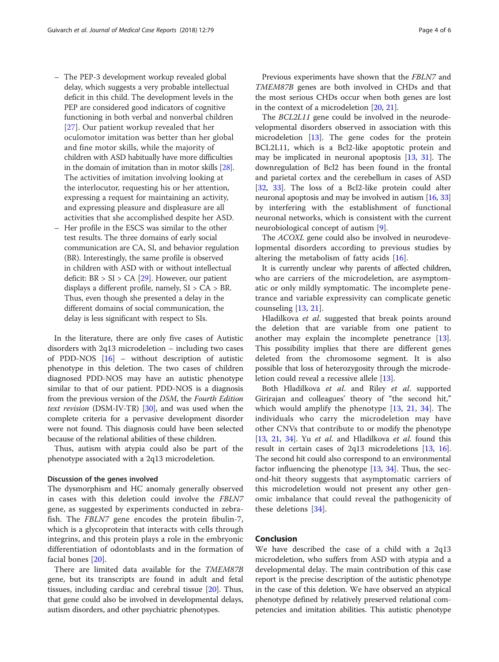- The PEP-3 development workup revealed global delay, which suggests a very probable intellectual deficit in this child. The development levels in the PEP are considered good indicators of cognitive functioning in both verbal and nonverbal children [[27\]](#page-5-0). Our patient workup revealed that her oculomotor imitation was better than her global and fine motor skills, while the majority of children with ASD habitually have more difficulties in the domain of imitation than in motor skills [\[28\]](#page-5-0). The activities of imitation involving looking at the interlocutor, requesting his or her attention, expressing a request for maintaining an activity, and expressing pleasure and displeasure are all activities that she accomplished despite her ASD.
- Her profile in the ESCS was similar to the other test results. The three domains of early social communication are CA, SI, and behavior regulation (BR). Interestingly, the same profile is observed in children with ASD with or without intellectual deficit:  $BR > SI > CA$  [[29\]](#page-5-0). However, our patient displays a different profile, namely,  $SI > CA > BR$ . Thus, even though she presented a delay in the different domains of social communication, the delay is less significant with respect to SIs.

In the literature, there are only five cases of Autistic disorders with 2q13 microdeletion – including two cases of PDD-NOS [\[16](#page-5-0)] – without description of autistic phenotype in this deletion. The two cases of children diagnosed PDD-NOS may have an autistic phenotype similar to that of our patient. PDD-NOS is a diagnosis from the previous version of the DSM, the Fourth Edition text revision (DSM-IV-TR)  $[30]$ , and was used when the complete criteria for a pervasive development disorder were not found. This diagnosis could have been selected because of the relational abilities of these children.

Thus, autism with atypia could also be part of the phenotype associated with a 2q13 microdeletion.

#### Discussion of the genes involved

The dysmorphism and HC anomaly generally observed in cases with this deletion could involve the FBLN7 gene, as suggested by experiments conducted in zebrafish. The FBLN7 gene encodes the protein fibulin-7, which is a glycoprotein that interacts with cells through integrins, and this protein plays a role in the embryonic differentiation of odontoblasts and in the formation of facial bones [[20\]](#page-5-0).

There are limited data available for the TMEM87B gene, but its transcripts are found in adult and fetal tissues, including cardiac and cerebral tissue [[20](#page-5-0)]. Thus, that gene could also be involved in developmental delays, autism disorders, and other psychiatric phenotypes.

Previous experiments have shown that the FBLN7 and TMEM87B genes are both involved in CHDs and that the most serious CHDs occur when both genes are lost in the context of a microdeletion [\[20,](#page-5-0) [21\]](#page-5-0).

The BCL2L11 gene could be involved in the neurodevelopmental disorders observed in association with this microdeletion [\[13](#page-5-0)]. The gene codes for the protein BCL2L11, which is a Bcl2-like apoptotic protein and may be implicated in neuronal apoptosis [\[13](#page-5-0), [31\]](#page-5-0). The downregulation of Bcl2 has been found in the frontal and parietal cortex and the cerebellum in cases of ASD [[32,](#page-5-0) [33\]](#page-5-0). The loss of a Bcl2-like protein could alter neuronal apoptosis and may be involved in autism [\[16](#page-5-0), [33](#page-5-0)] by interfering with the establishment of functional neuronal networks, which is consistent with the current neurobiological concept of autism [[9\]](#page-5-0).

The ACOXL gene could also be involved in neurodevelopmental disorders according to previous studies by altering the metabolism of fatty acids [[16](#page-5-0)].

It is currently unclear why parents of affected children, who are carriers of the microdeletion, are asymptomatic or only mildly symptomatic. The incomplete penetrance and variable expressivity can complicate genetic counseling [[13,](#page-5-0) [21\]](#page-5-0).

Hladilkova et al. suggested that break points around the deletion that are variable from one patient to another may explain the incomplete penetrance [\[13](#page-5-0)]. This possibility implies that there are different genes deleted from the chromosome segment. It is also possible that loss of heterozygosity through the microdeletion could reveal a recessive allele [[13](#page-5-0)].

Both Hladilkova et al. and Riley et al. supported Girirajan and colleagues' theory of "the second hit," which would amplify the phenotype  $[13, 21, 34]$  $[13, 21, 34]$  $[13, 21, 34]$  $[13, 21, 34]$  $[13, 21, 34]$  $[13, 21, 34]$  $[13, 21, 34]$ . The individuals who carry the microdeletion may have other CNVs that contribute to or modify the phenotype [[13](#page-5-0), [21,](#page-5-0) [34](#page-5-0)]. Yu et al. and Hladilkova et al. found this result in certain cases of 2q13 microdeletions [\[13,](#page-5-0) [16](#page-5-0)]. The second hit could also correspond to an environmental factor influencing the phenotype [\[13,](#page-5-0) [34](#page-5-0)]. Thus, the second-hit theory suggests that asymptomatic carriers of this microdeletion would not present any other genomic imbalance that could reveal the pathogenicity of these deletions [[34\]](#page-5-0).

# Conclusion

We have described the case of a child with a 2q13 microdeletion, who suffers from ASD with atypia and a developmental delay. The main contribution of this case report is the precise description of the autistic phenotype in the case of this deletion. We have observed an atypical phenotype defined by relatively preserved relational competencies and imitation abilities. This autistic phenotype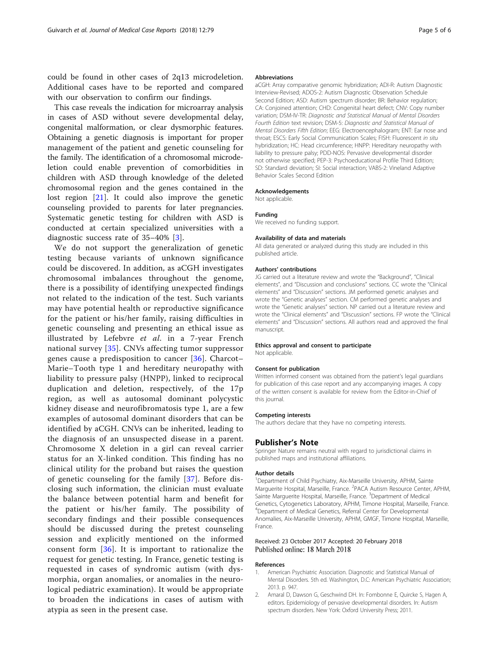<span id="page-4-0"></span>could be found in other cases of 2q13 microdeletion. Additional cases have to be reported and compared with our observation to confirm our findings.

This case reveals the indication for microarray analysis in cases of ASD without severe developmental delay, congenital malformation, or clear dysmorphic features. Obtaining a genetic diagnosis is important for proper management of the patient and genetic counseling for the family. The identification of a chromosomal microdeletion could enable prevention of comorbidities in children with ASD through knowledge of the deleted chromosomal region and the genes contained in the lost region [[21](#page-5-0)]. It could also improve the genetic counseling provided to parents for later pregnancies. Systematic genetic testing for children with ASD is conducted at certain specialized universities with a diagnostic success rate of 35–40% [\[3](#page-5-0)].

We do not support the generalization of genetic testing because variants of unknown significance could be discovered. In addition, as aCGH investigates chromosomal imbalances throughout the genome, there is a possibility of identifying unexpected findings not related to the indication of the test. Such variants may have potential health or reproductive significance for the patient or his/her family, raising difficulties in genetic counseling and presenting an ethical issue as illustrated by Lefebvre et al. in a 7-year French national survey [\[35\]](#page-5-0). CNVs affecting tumor suppressor genes cause a predisposition to cancer [[36](#page-5-0)]. Charcot– Marie–Tooth type 1 and hereditary neuropathy with liability to pressure palsy (HNPP), linked to reciprocal duplication and deletion, respectively, of the 17p region, as well as autosomal dominant polycystic kidney disease and neurofibromatosis type 1, are a few examples of autosomal dominant disorders that can be identified by aCGH. CNVs can be inherited, leading to the diagnosis of an unsuspected disease in a parent. Chromosome X deletion in a girl can reveal carrier status for an X-linked condition. This finding has no clinical utility for the proband but raises the question of genetic counseling for the family [[37\]](#page-5-0). Before disclosing such information, the clinician must evaluate the balance between potential harm and benefit for the patient or his/her family. The possibility of secondary findings and their possible consequences should be discussed during the pretest counseling session and explicitly mentioned on the informed consent form [\[36](#page-5-0)]. It is important to rationalize the request for genetic testing. In France, genetic testing is requested in cases of syndromic autism (with dysmorphia, organ anomalies, or anomalies in the neurological pediatric examination). It would be appropriate to broaden the indications in cases of autism with atypia as seen in the present case.

#### Abbreviations

aCGH: Array comparative genomic hybridization; ADI-R: Autism Diagnostic Interview-Revised; ADOS-2: Autism Diagnostic Observation Schedule Second Edition; ASD: Autism spectrum disorder; BR: Behavior regulation; CA: Conjoined attention; CHD: Congenital heart defect; CNV: Copy number variation; DSM-IV-TR: Diagnostic and Statistical Manual of Mental Disorders Fourth Edition text revision; DSM-5: Diagnostic and Statistical Manual of Mental Disorders Fifth Edition; EEG: Electroencephalogram; ENT: Ear nose and throat; ESCS: Early Social Communication Scales; FISH: Fluorescent in situ hybridization; HC: Head circumference; HNPP: Hereditary neuropathy with liability to pressure palsy; PDD-NOS: Pervasive developmental disorder not otherwise specified; PEP-3: Psychoeducational Profile Third Edition; SD: Standard deviation; SI: Social interaction; VABS-2: Vineland Adaptive Behavior Scales Second Edition

#### Acknowledgements

Not applicable.

#### Funding

We received no funding support.

#### Availability of data and materials

All data generated or analyzed during this study are included in this published article.

#### Authors' contributions

JG carried out a literature review and wrote the "Background", "Clinical elements", and "Discussion and conclusions" sections. CC wrote the "Clinical elements" and "Discussion" sections. JM performed genetic analyses and wrote the "Genetic analyses" section. CM performed genetic analyses and wrote the "Genetic analyses" section. NP carried out a literature review and wrote the "Clinical elements" and "Discussion" sections. FP wrote the "Clinical elements" and "Discussion" sections. All authors read and approved the final manuscript.

#### Ethics approval and consent to participate

Not applicable.

#### Consent for publication

Written informed consent was obtained from the patient's legal guardians for publication of this case report and any accompanying images. A copy of the written consent is available for review from the Editor-in-Chief of this journal.

#### Competing interests

The authors declare that they have no competing interests.

#### Publisher's Note

Springer Nature remains neutral with regard to jurisdictional claims in published maps and institutional affiliations.

#### Author details

<sup>1</sup>Department of Child Psychiatry, Aix-Marseille University, APHM, Sainte Marguerite Hospital, Marseille, France. <sup>2</sup>PACA Autism Resource Center, APHM, Sainte Marguerite Hospital, Marseille, France. <sup>3</sup>Department of Medical Genetics, Cytogenetics Laboratory, APHM, Timone Hospital, Marseille, France. 4 Department of Medical Genetics, Referral Center for Developmental Anomalies, Aix-Marseille University, APHM, GMGF, Timone Hospital, Marseille, France.

#### Received: 23 October 2017 Accepted: 20 February 2018 Published online: 18 March 2018

#### References

- 1. American Psychiatric Association. Diagnostic and Statistical Manual of Mental Disorders. 5th ed. Washington, D.C: American Psychiatric Association; 2013. p. 947.
- 2. Amaral D, Dawson G, Geschwind DH. In: Fombonne E, Quircke S, Hagen A, editors. Epidemiology of pervasive developmental disorders. In: Autism spectrum disorders. New York: Oxford University Press; 2011.